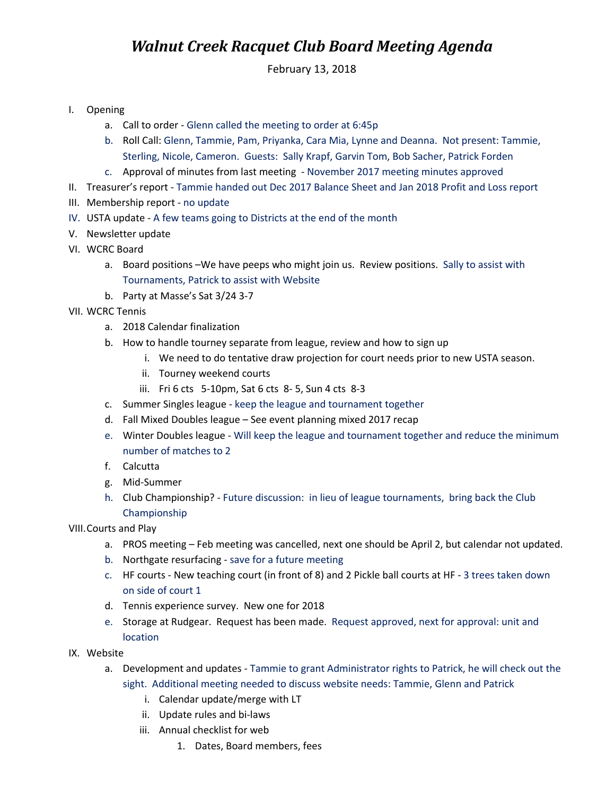## *Walnut Creek Racquet Club Board Meeting Agenda*

February 13, 2018

- I. Opening
	- a. Call to order Glenn called the meeting to order at 6:45p
	- b. Roll Call: Glenn, Tammie, Pam, Priyanka, Cara Mia, Lynne and Deanna. Not present: Tammie, Sterling, Nicole, Cameron. Guests: Sally Krapf, Garvin Tom, Bob Sacher, Patrick Forden
	- c. Approval of minutes from last meeting November 2017 meeting minutes approved
- II. Treasurer's report Tammie handed out Dec 2017 Balance Sheet and Jan 2018 Profit and Loss report
- III. Membership report no update
- IV. USTA update A few teams going to Districts at the end of the month
- V. Newsletter update
- VI. WCRC Board
	- a. Board positions –We have peeps who might join us. Review positions. Sally to assist with Tournaments, Patrick to assist with Website
	- b. Party at Masse's Sat 3/24 3-7
- VII. WCRC Tennis
	- a. 2018 Calendar finalization
	- b. How to handle tourney separate from league, review and how to sign up
		- i. We need to do tentative draw projection for court needs prior to new USTA season.
		- ii. Tourney weekend courts
		- iii. Fri 6 cts 5-10pm, Sat 6 cts 8- 5, Sun 4 cts 8-3
	- c. Summer Singles league keep the league and tournament together
	- d. Fall Mixed Doubles league See event planning mixed 2017 recap
	- e. Winter Doubles league Will keep the league and tournament together and reduce the minimum number of matches to 2
	- f. Calcutta
	- g. Mid-Summer
	- h. Club Championship? Future discussion: in lieu of league tournaments, bring back the Club Championship
- VIII.Courts and Play
	- a. PROS meeting Feb meeting was cancelled, next one should be April 2, but calendar not updated.
	- b. Northgate resurfacing save for a future meeting
	- c. HF courts New teaching court (in front of 8) and 2 Pickle ball courts at HF 3 trees taken down on side of court 1
	- d. Tennis experience survey. New one for 2018
	- e. Storage at Rudgear. Request has been made. Request approved, next for approval: unit and location
- IX. Website
	- a. Development and updates Tammie to grant Administrator rights to Patrick, he will check out the sight. Additional meeting needed to discuss website needs: Tammie, Glenn and Patrick
		- i. Calendar update/merge with LT
		- ii. Update rules and bi-laws
		- iii. Annual checklist for web
			- 1. Dates, Board members, fees